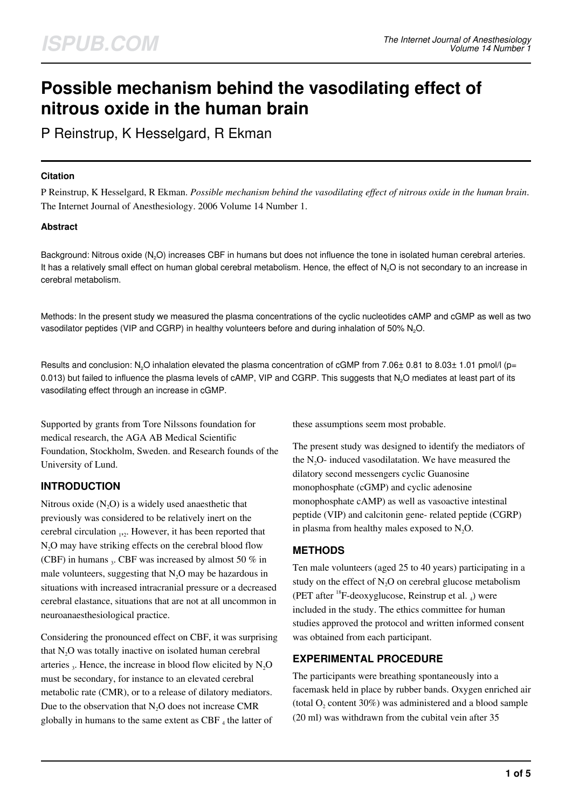# **Possible mechanism behind the vasodilating effect of nitrous oxide in the human brain**

P Reinstrup, K Hesselgard, R Ekman

## **Citation**

P Reinstrup, K Hesselgard, R Ekman. *Possible mechanism behind the vasodilating effect of nitrous oxide in the human brain*. The Internet Journal of Anesthesiology. 2006 Volume 14 Number 1.

# **Abstract**

Background: Nitrous oxide (N<sub>2</sub>O) increases CBF in humans but does not influence the tone in isolated human cerebral arteries. It has a relatively small effect on human global cerebral metabolism. Hence, the effect of  $N<sub>2</sub>O$  is not secondary to an increase in cerebral metabolism.

Methods: In the present study we measured the plasma concentrations of the cyclic nucleotides cAMP and cGMP as well as two vasodilator peptides (VIP and CGRP) in healthy volunteers before and during inhalation of 50% N<sub>2</sub>O.

Results and conclusion: N<sub>2</sub>O inhalation elevated the plasma concentration of cGMP from 7.06± 0.81 to 8.03± 1.01 pmol/l (p= 0.013) but failed to influence the plasma levels of cAMP, VIP and CGRP. This suggests that N<sub>2</sub>O mediates at least part of its vasodilating effect through an increase in cGMP.

Supported by grants from Tore Nilssons foundation for medical research, the AGA AB Medical Scientific Foundation, Stockholm, Sweden. and Research founds of the University of Lund.

# **INTRODUCTION**

Nitrous oxide  $(N_2O)$  is a widely used anaesthetic that previously was considered to be relatively inert on the cerebral circulation  $_{12}$ . However, it has been reported that  $N<sub>2</sub>O$  may have striking effects on the cerebral blood flow (CBF) in humans  $_3$ . CBF was increased by almost 50 % in male volunteers, suggesting that  $N<sub>2</sub>O$  may be hazardous in situations with increased intracranial pressure or a decreased cerebral elastance, situations that are not at all uncommon in neuroanaesthesiological practice.

Considering the pronounced effect on CBF, it was surprising that  $N<sub>2</sub>O$  was totally inactive on isolated human cerebral arteries  $_3$ . Hence, the increase in blood flow elicited by  $N_2O$ must be secondary, for instance to an elevated cerebral metabolic rate (CMR), or to a release of dilatory mediators. Due to the observation that  $N<sub>2</sub>O$  does not increase CMR globally in humans to the same extent as CBF  $_4$  the latter of

these assumptions seem most probable.

The present study was designed to identify the mediators of the  $N_2O$ - induced vasodilatation. We have measured the dilatory second messengers cyclic Guanosine monophosphate (cGMP) and cyclic adenosine monophosphate cAMP) as well as vasoactive intestinal peptide (VIP) and calcitonin gene- related peptide (CGRP) in plasma from healthy males exposed to  $N_2O$ .

# **METHODS**

Ten male volunteers (aged 25 to 40 years) participating in a study on the effect of  $N<sub>2</sub>O$  on cerebral glucose metabolism (PET after  $^{18}$ F-deoxyglucose, Reinstrup et al. <sub>4</sub>) were included in the study. The ethics committee for human studies approved the protocol and written informed consent was obtained from each participant.

# **EXPERIMENTAL PROCEDURE**

The participants were breathing spontaneously into a facemask held in place by rubber bands. Oxygen enriched air (total  $O_2$  content 30%) was administered and a blood sample (20 ml) was withdrawn from the cubital vein after 35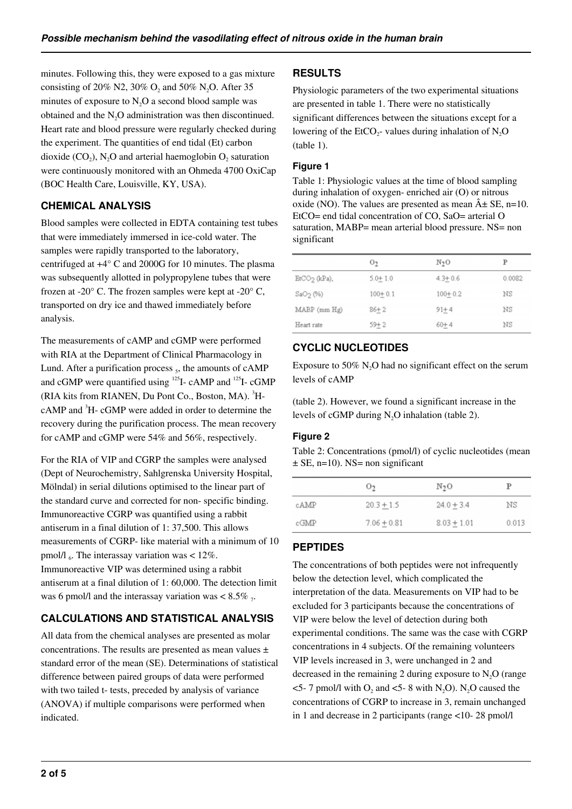minutes. Following this, they were exposed to a gas mixture consisting of 20% N2, 30%  $O_2$  and 50% N<sub>2</sub>O. After 35 minutes of exposure to  $N_2O$  a second blood sample was obtained and the N<sub>2</sub>O administration was then discontinued. Heart rate and blood pressure were regularly checked during the experiment. The quantities of end tidal (Et) carbon dioxide (CO<sub>2</sub>), N<sub>2</sub>O and arterial haemoglobin O<sub>2</sub> saturation were continuously monitored with an Ohmeda 4700 OxiCap (BOC Health Care, Louisville, KY, USA).

# **CHEMICAL ANALYSIS**

Blood samples were collected in EDTA containing test tubes that were immediately immersed in ice-cold water. The samples were rapidly transported to the laboratory, centrifuged at +4° C and 2000G for 10 minutes. The plasma was subsequently allotted in polypropylene tubes that were frozen at -20 $^{\circ}$  C. The frozen samples were kept at -20 $^{\circ}$  C, transported on dry ice and thawed immediately before analysis.

The measurements of cAMP and cGMP were performed with RIA at the Department of Clinical Pharmacology in Lund. After a purification process <sub>5</sub>, the amounts of cAMP and cGMP were quantified using  $^{125}$ I- cAMP and  $^{125}$ I- cGMP (RIA kits from RIANEN, Du Pont Co., Boston, MA).  ${}^{3}H$  $cAMP$  and  ${}^{3}H- cGMP$  were added in order to determine the recovery during the purification process. The mean recovery for cAMP and cGMP were 54% and 56%, respectively.

For the RIA of VIP and CGRP the samples were analysed (Dept of Neurochemistry, Sahlgrenska University Hospital, Mölndal) in serial dilutions optimised to the linear part of the standard curve and corrected for non- specific binding. Immunoreactive CGRP was quantified using a rabbit antiserum in a final dilution of 1: 37,500. This allows measurements of CGRP- like material with a minimum of 10 pmol/l<sub>6</sub>. The interassay variation was  $< 12\%$ . Immunoreactive VIP was determined using a rabbit antiserum at a final dilution of 1: 60,000. The detection limit was 6 pmol/l and the interassay variation was  $< 8.5\%$ ,

# **CALCULATIONS AND STATISTICAL ANALYSIS**

All data from the chemical analyses are presented as molar concentrations. The results are presented as mean values  $\pm$ standard error of the mean (SE). Determinations of statistical difference between paired groups of data were performed with two tailed t- tests, preceded by analysis of variance (ANOVA) if multiple comparisons were performed when indicated.

# **RESULTS**

Physiologic parameters of the two experimental situations are presented in table 1. There were no statistically significant differences between the situations except for a lowering of the EtCO<sub>2</sub>- values during inhalation of N<sub>2</sub>O (table 1).

## **Figure 1**

Table 1: Physiologic values at the time of blood sampling during inhalation of oxygen- enriched air (O) or nitrous oxide (NO). The values are presented as mean  $\hat{A} \pm SE$ , n=10. EtCO= end tidal concentration of CO, SaO= arterial O saturation, MABP= mean arterial blood pressure. NS= non significant

|                      | O <sub>2</sub> | N <sub>2</sub> O | P      |
|----------------------|----------------|------------------|--------|
| $EtCO2 (kPa)$ ,      | $5.0 + 1.0$    | $4.3 + 0.6$      | 0.0082 |
| SaO <sub>2</sub> (%) | $100 + 0.1$    | $100 + 0.2$      | ΝS     |
| MABP (mm Hg)         | $86 + 2$       | $91 + 4$         | ΝS     |
| Heart rate           | $59 + 2$       | $60 + 4$         | ΝS     |

# **CYCLIC NUCLEOTIDES**

Exposure to  $50\%$  N<sub>2</sub>O had no significant effect on the serum levels of cAMP

(table 2). However, we found a significant increase in the levels of cGMP during  $N<sub>2</sub>O$  inhalation (table 2).

### **Figure 2**

Table 2: Concentrations (pmol/l) of cyclic nucleotides (mean  $\pm$  SE, n=10). NS= non significant

|      | O <sub>2</sub> | N <sub>2</sub> O | Р     |
|------|----------------|------------------|-------|
| cAMP | $20.3 + 1.5$   | $24.0 + 3.4$     | ΝS    |
| cGMP | $7.06 + 0.81$  | $8.03 + 1.01$    | 0.013 |

# **PEPTIDES**

The concentrations of both peptides were not infrequently below the detection level, which complicated the interpretation of the data. Measurements on VIP had to be excluded for 3 participants because the concentrations of VIP were below the level of detection during both experimental conditions. The same was the case with CGRP concentrations in 4 subjects. Of the remaining volunteers VIP levels increased in 3, were unchanged in 2 and decreased in the remaining 2 during exposure to  $N<sub>2</sub>O$  (range  $\leq$  5- 7 pmol/l with  $O_2$  and  $\leq$  5- 8 with N<sub>2</sub>O). N<sub>2</sub>O caused the concentrations of CGRP to increase in 3, remain unchanged in 1 and decrease in 2 participants (range <10- 28 pmol/l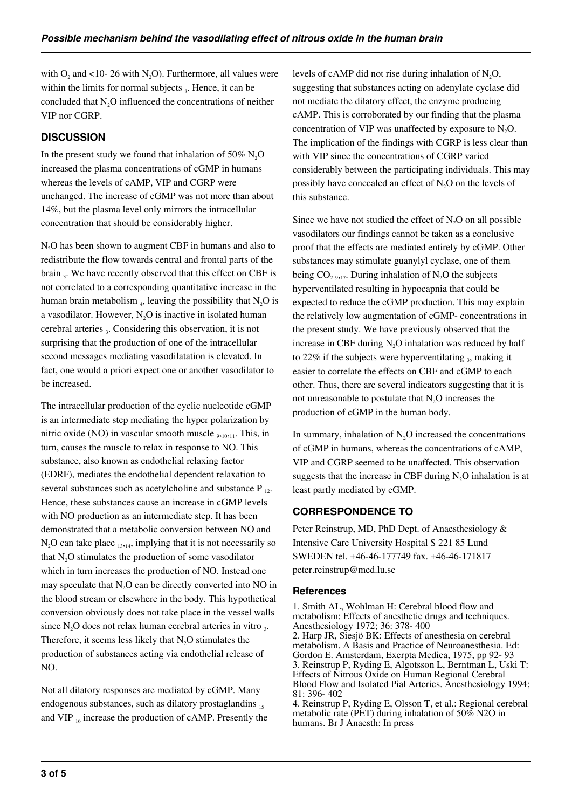with  $O_2$  and <10- 26 with N<sub>2</sub>O). Furthermore, all values were within the limits for normal subjects  $<sub>8</sub>$ . Hence, it can be</sub> concluded that N<sub>2</sub>O influenced the concentrations of neither VIP nor CGRP.

# **DISCUSSION**

In the present study we found that inhalation of 50%  $N_2O$ increased the plasma concentrations of cGMP in humans whereas the levels of cAMP, VIP and CGRP were unchanged. The increase of cGMP was not more than about 14%, but the plasma level only mirrors the intracellular concentration that should be considerably higher.

N<sub>2</sub>O has been shown to augment CBF in humans and also to redistribute the flow towards central and frontal parts of the brain <sub>3</sub>. We have recently observed that this effect on CBF is not correlated to a corresponding quantitative increase in the human brain metabolism  $_4$ , leaving the possibility that  $N_2O$  is a vasodilator. However,  $N_2O$  is inactive in isolated human cerebral arteries 3. Considering this observation, it is not surprising that the production of one of the intracellular second messages mediating vasodilatation is elevated. In fact, one would a priori expect one or another vasodilator to be increased.

The intracellular production of the cyclic nucleotide cGMP is an intermediate step mediating the hyper polarization by nitric oxide (NO) in vascular smooth muscle <sub>9,10,11</sub>. This, in turn, causes the muscle to relax in response to NO. This substance, also known as endothelial relaxing factor (EDRF), mediates the endothelial dependent relaxation to several substances such as acetylcholine and substance  $P_{12}$ . Hence, these substances cause an increase in cGMP levels with NO production as an intermediate step. It has been demonstrated that a metabolic conversion between NO and  $N<sub>2</sub>O$  can take place  $_{13,14}$ , implying that it is not necessarily so that  $N_2O$  stimulates the production of some vasodilator which in turn increases the production of NO. Instead one may speculate that N<sub>2</sub>O can be directly converted into NO in the blood stream or elsewhere in the body. This hypothetical conversion obviously does not take place in the vessel walls since  $N_2O$  does not relax human cerebral arteries in vitro  $_3$ . Therefore, it seems less likely that  $N<sub>2</sub>O$  stimulates the production of substances acting via endothelial release of NO.

Not all dilatory responses are mediated by cGMP. Many endogenous substances, such as dilatory prostaglandins 15 and VIP  $_{16}$  increase the production of cAMP. Presently the levels of cAMP did not rise during inhalation of  $N_2O$ , suggesting that substances acting on adenylate cyclase did not mediate the dilatory effect, the enzyme producing cAMP. This is corroborated by our finding that the plasma concentration of VIP was unaffected by exposure to  $N_2O$ . The implication of the findings with CGRP is less clear than with VIP since the concentrations of CGRP varied considerably between the participating individuals. This may possibly have concealed an effect of  $N_2O$  on the levels of this substance.

Since we have not studied the effect of  $N<sub>2</sub>O$  on all possible vasodilators our findings cannot be taken as a conclusive proof that the effects are mediated entirely by cGMP. Other substances may stimulate guanylyl cyclase, one of them being  $CO<sub>2917</sub>$ . During inhalation of N<sub>2</sub>O the subjects hyperventilated resulting in hypocapnia that could be expected to reduce the cGMP production. This may explain the relatively low augmentation of cGMP- concentrations in the present study. We have previously observed that the increase in CBF during N<sub>2</sub>O inhalation was reduced by half to 22% if the subjects were hyperventilating  $_3$ , making it easier to correlate the effects on CBF and cGMP to each other. Thus, there are several indicators suggesting that it is not unreasonable to postulate that  $N<sub>2</sub>O$  increases the production of cGMP in the human body.

In summary, inhalation of  $N<sub>2</sub>O$  increased the concentrations of cGMP in humans, whereas the concentrations of cAMP, VIP and CGRP seemed to be unaffected. This observation suggests that the increase in CBF during  $N<sub>2</sub>O$  inhalation is at least partly mediated by cGMP.

# **CORRESPONDENCE TO**

Peter Reinstrup, MD, PhD Dept. of Anaesthesiology & Intensive Care University Hospital S 221 85 Lund SWEDEN tel. +46-46-177749 fax. +46-46-171817 peter.reinstrup@med.lu.se

### **References**

1. Smith AL, Wohlman H: Cerebral blood flow and metabolism: Effects of anesthetic drugs and techniques. Anesthesiology 1972; 36: 378- 400 2. Harp JR, Siesjö BK: Effects of anesthesia on cerebral metabolism. A Basis and Practice of Neuroanesthesia. Ed: Gordon E. Amsterdam, Exerpta Medica, 1975, pp 92- 93 3. Reinstrup P, Ryding E, Algotsson L, Berntman L, Uski T: Effects of Nitrous Oxide on Human Regional Cerebral Blood Flow and Isolated Pial Arteries. Anesthesiology 1994; 81: 396- 402

4. Reinstrup P, Ryding E, Olsson T, et al.: Regional cerebral metabolic rate (PET) during inhalation of 50% N2O in humans. Br J Anaesth: In press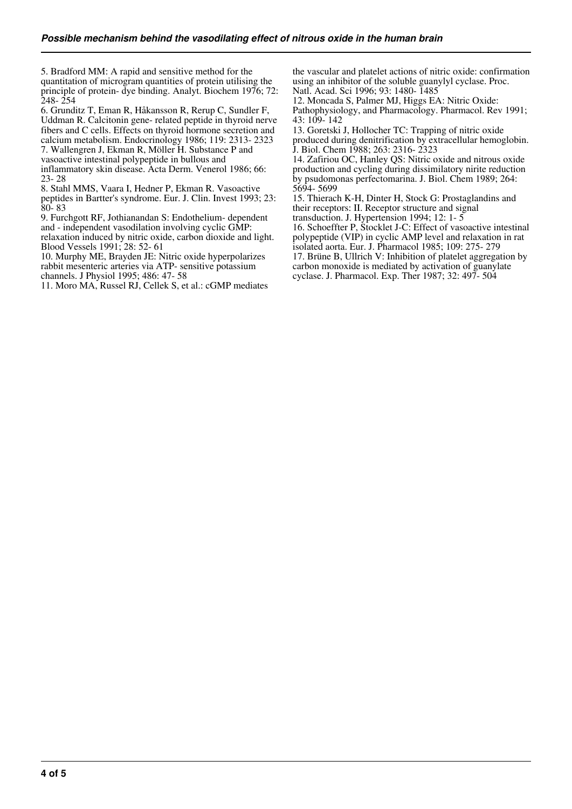5. Bradford MM: A rapid and sensitive method for the quantitation of microgram quantities of protein utilising the principle of protein- dye binding. Analyt. Biochem 1976; 72: 248- 254

6. Grunditz T, Eman R, Håkansson R, Rerup C, Sundler F, Uddman R. Calcitonin gene- related peptide in thyroid nerve fibers and C cells. Effects on thyroid hormone secretion and calcium metabolism. Endocrinology 1986; 119: 2313- 2323

7. Wallengren J, Ekman R, Möller H. Substance P and

vasoactive intestinal polypeptide in bullous and

inflammatory skin disease. Acta Derm. Venerol 1986; 66: 23- 28

8. Stahl MMS, Vaara I, Hedner P, Ekman R. Vasoactive peptides in Bartter's syndrome. Eur. J. Clin. Invest 1993; 23:  $80 - 83$ 

9. Furchgott RF, Jothianandan S: Endothelium- dependent and - independent vasodilation involving cyclic GMP: relaxation induced by nitric oxide, carbon dioxide and light.

Blood Vessels 1991; 28: 52- 61

10. Murphy ME, Brayden JE: Nitric oxide hyperpolarizes rabbit mesenteric arteries via ATP- sensitive potassium channels. J Physiol 1995; 486: 47- 58

11. Moro MA, Russel RJ, Cellek S, et al.: cGMP mediates

the vascular and platelet actions of nitric oxide: confirmation using an inhibitor of the soluble guanylyl cyclase. Proc. Natl. Acad. Sci 1996; 93: 1480- 1485

12. Moncada S, Palmer MJ, Higgs EA: Nitric Oxide: Pathophysiology, and Pharmacology. Pharmacol. Rev 1991; 43: 109- 142

13. Goretski J, Hollocher TC: Trapping of nitric oxide produced during denitrification by extracellular hemoglobin. J. Biol. Chem 1988; 263: 2316- 2323

14. Zafiriou OC, Hanley QS: Nitric oxide and nitrous oxide production and cycling during dissimilatory nirite reduction by psudomonas perfectomarina. J. Biol. Chem 1989; 264: 5694- 5699

15. Thierach K-H, Dinter H, Stock G: Prostaglandins and their receptors: II. Receptor structure and signal

transduction. J. Hypertension 1994; 12: 1- 5

16. Schoeffter P, Stocklet J-C: Effect of vasoactive intestinal polypeptide (VIP) in cyclic AMP level and relaxation in rat isolated aorta. Eur. J. Pharmacol 1985; 109: 275- 279

17. Brüne B, Ullrich V: Inhibition of platelet aggregation by carbon monoxide is mediated by activation of guanylate cyclase. J. Pharmacol. Exp. Ther 1987; 32: 497- 504